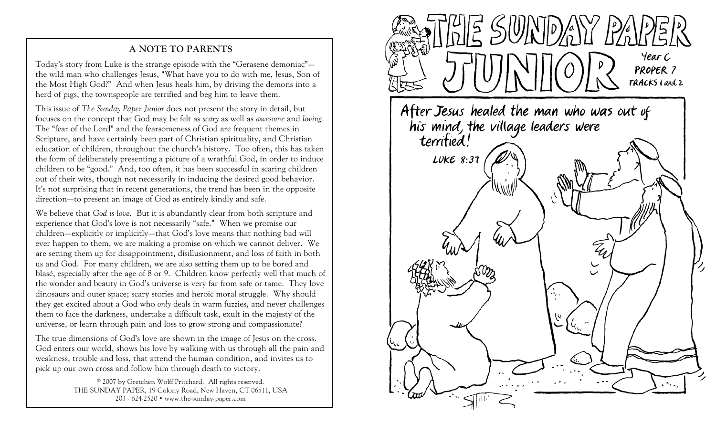## **A NOTE TO PARENTS**

Today's story from Luke is the strange episode with the "Gerasene demoniac" the wild man who challenges Jesus, "What have you to do with me, Jesus, Son of the Most High God?" And when Jesus heals him, by driving the demons into a herd of pigs, the townspeople are terrified and beg him to leave them.

This issue of *The Sunday Paper Junior* does not present the story in detail, but focuses on the concept that God may be felt as *scary* as well as *awesome* and *loving.*The "fear of the Lord" and the fearsomeness of God are frequent themes in Scripture, and have certainly been part of Christian spirituality, and Christian education of children, throughout the church's history. Too often, this has taken the form of deliberately presenting a picture of a wrathful God, in order to induce children to be "good." And, too often, it has been successful in scaring children out of their wits, though not necessarily in inducing the desired good behavior. It's not surprising that in recent generations, the trend has been in the opposite direction—to present an image of God as entirely kindly and safe.

We believe that *God is love.* But it is abundantly clear from both scripture and experience that God's love is not necessarily "safe." When we promise our children—explicitly or implicitly—that God's love means that nothing bad will ever happen to them, we are making a promise on which we cannot deliver. We are setting them up for disappointment, disillusionment, and loss of faith in both us and God. For many children, we are also setting them up to be bored and blasé, especially after the age of 8 or 9. Children know perfectly well that much of the wonder and beauty in God's universe is very far from safe or tame. They love dinosaurs and outer space; scary stories and heroic moral struggle. Why should they get excited about a God who *only* deals in warm fuzzies, and never challenges them to face the darkness, undertake a difficult task, exult in the majesty of the universe, or learn through pain and loss to grow strong and compassionate?

The true dimensions of God's love are shown in the image of Jesus on the cross. God enters our world, shows his love by walking with us through all the pain and weakness, trouble and loss, that attend the human condition, and invites us to pick up our own cross and follow him through death to victory.

> © 2007 by Gretchen Wolff Pritchard. All rights reserved. THE SUNDAY PAPER, 19 Colony Road, New Haven, CT 06511, USA 203 - 624-2520 www.the-sunday-paper.com